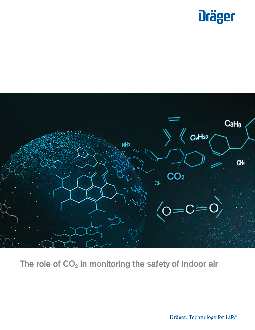



The role of  $CO<sub>2</sub>$  in monitoring the safety of indoor air

Dräger. Technology for Life®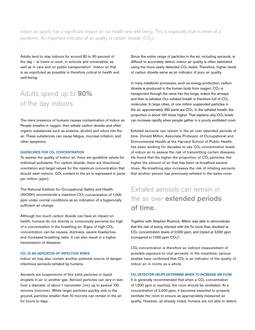Indoor air quality has a significant impact on our health and well being. This is especially true in times of a pandemic. An important indicator of air quality is carbon dioxide  $(CO<sub>2</sub>)$ .

Adults tend to stay indoors for around 80 to 90 percent of the day – at home or work, in schools and universities, as well as in cars and on public transportation<sup>1</sup>. Indoor air that is as unpolluted as possible is therefore critical to health and well-being.

## Adults spend up to 90% of the day indoors.

The mere presence of humans causes contamination of indoor air. People breathe in oxygen, then exhale carbon dioxide and often organic substances such as acetone, alcohol and odors into the air. These substances can cause fatigue, mucosal irritation, and other symptoms.

#### GUIDELINES FOR CO<sub>2</sub> CONCENTRATION

To assess the quality of indoor air, there are guideline values for individual pollutants. For carbon dioxide, there are directional, orientation and target values for the maximum concentration that should exist indoors.  $CO<sub>2</sub>$  content in the air is expressed in parts per million (ppm).

The National Institute for Occupational Safety and Health (NIOSH) recommends a maximum  $CO<sub>2</sub>$  concentration of 1,000 ppm under normal conditions as an indication of a hygienically sufficient air change.

Although too much carbon dioxide can have an impact on health, humans do not directly or consciously perceive too high of a concentration in the breathing air. Signs of high  $CO<sub>2</sub>$ concentration can be nausea, dizziness, severe headaches, and increased breathing rates. It can also result in a higher transmission of diseases.

### CO<sub>2</sub> IS AN INDICATOR OF INFECTION RISKS

Indoor air may also contain another potential source of danger: infectious aerosols exhaled by humans.

Aerosols are suspensions of fine solid particles or liquid droplets in air or another gas. Aerosol particles can vary in size from a diameter of about 1 nanometer (nm) up to several 100 microns (microns). While larger particles quickly sink to the ground, particles smaller than 10 microns can remain in the air for hours to days.

Since the entire range of particles in the air, including aerosols, is difficult to accurately detect, indoor air quality is often estimated using the more easily detected  $CO<sub>2</sub>$  levels. Therefore, higher levels of carbon dioxide serve as an indicator of poor air quality.

In many metabolic processes, such as energy production, carbon dioxide is produced in the human body from oxygen.  $CO<sub>2</sub>$  is transported through the veins into the lungs, enters the airways, and then is exhaled. Our exhaled breath is therefore full of  $CO<sub>2</sub>$ molecules. In large cities, of one million suspended particles in the air, approximately 350 parts are  $CO<sub>2</sub>$ . In the exhaled breath, the proportion is about 100 times higher. That explains why  $CO<sub>2</sub>$  levels can increase rapidly when people gather in a poorly ventilated room.

Exhaled aerosols can remain in the air over extended periods of time. Donald Milton, Associate Professor of Occupational and Environmental Health at the Harvard School of Public Health, has been working for decades to use  $CO<sub>2</sub>$  concentration levels of indoor air to assess the risk of transmitting certain diseases. He found that the higher the proportion of  $CO<sub>2</sub>$  particles, the higher the amount of air that has been re-breathed several times. Re-breathing also increases the risk of inhaling aerosols that another person has previously exhaled in the same room.

### Exhaled aerosols can remain in the air over **extended periods** of time.

Together with Stephen Rudnick, Milton was able to demonstrate that the risk of being infected with the flu more than doubled at CO<sub>2</sub> concentration levels of 2,000 ppm, and tripled at 3,000 ppm (compared to 1,000 ppm  $CO<sub>2</sub>$ )<sup>2</sup>.

CO<sub>2</sub> concentration is therefore an indirect measurement of possible exposure to viral aerosols. In the meantime, various studies have confirmed that  $CO<sub>2</sub>$  is an indicator of the quality of indoor air in rooms as a whole.

### CO2 DETECTOR HELPS DETERMINE WHEN TO INCREASE AIR FLOW

It is generally recommended that when a  $CO<sub>2</sub>$  concentration of 1,000 ppm is reached, the room should be ventilated. At a concentration of 2,000 ppm, it becomes essential to properly ventilate the room to ensure an appropriately measured air quality. However, as already noted, humans are not able to detect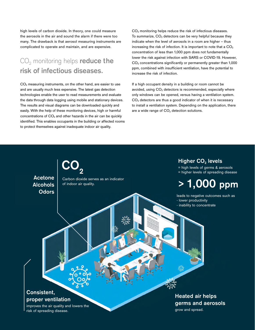high levels of carbon dioxide. In theory, one could measure the aerosols in the air and sound the alarm if there were too many. The drawback is that aerosol measuring instruments are complicated to operate and maintain, and are expensive.

# CO<sub>2</sub> monitoring helps reduce the risk of infectious diseases.

CO2 measuring instruments, on the other hand, are easier to use and are usually much less expensive. The latest gas detection technologies enable the user to read measurements and evaluate the data through data logging using mobile and stationary devices. The results and visual diagrams can be downloaded quickly and easily. With the help of these monitoring devices, high or harmful concentrations of  $CO<sub>2</sub>$  and other hazards in the air can be quickly identified. This enables occupants in the building or affected rooms to protect themselves against inadequate indoor air quality.

CO<sub>2</sub> monitoring helps reduce the risk of infectious diseases. To summarize,  $CO<sub>2</sub>$  detectors can be very helpful because they indicate when the level of aerosols in a room are higher – thus increasing the risk of infection. It is important to note that a  $CO<sub>2</sub>$ concentration of less than 1,000 ppm does not fundamentally lower the risk against infection with SARS or COVID-19. However, CO2 concentrations significantly or permanently greater than 1,000 ppm, combined with insufficient ventilation, have the potential to increase the risk of infection.

If a high occupant density in a building or room cannot be avoided, using  $CO<sub>2</sub>$  detectors is recommended, especially where only windows can be opened, versus having a ventilation system.  $CO<sub>2</sub>$  detectors are thus a good indicator of when it is necessary to install a ventilation system. Depending on the application, there are a wide range of  $CO<sub>2</sub>$  detection solutions.